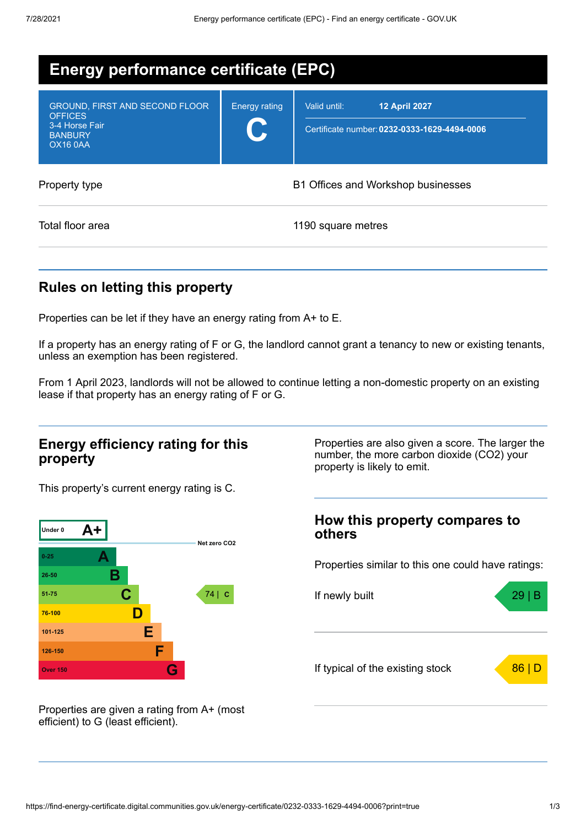| <b>Energy performance certificate (EPC)</b>                                                                    |                      |                                                                                      |  |  |
|----------------------------------------------------------------------------------------------------------------|----------------------|--------------------------------------------------------------------------------------|--|--|
| <b>GROUND, FIRST AND SECOND FLOOR</b><br><b>OFFICES</b><br>3-4 Horse Fair<br><b>BANBURY</b><br><b>OX16 0AA</b> | <b>Energy rating</b> | <b>12 April 2027</b><br>Valid until:<br>Certificate number: 0232-0333-1629-4494-0006 |  |  |
| B1 Offices and Workshop businesses<br>Property type                                                            |                      |                                                                                      |  |  |
| Total floor area                                                                                               |                      | 1190 square metres                                                                   |  |  |

## **Rules on letting this property**

Properties can be let if they have an energy rating from A+ to E.

If a property has an energy rating of F or G, the landlord cannot grant a tenancy to new or existing tenants, unless an exemption has been registered.

From 1 April 2023, landlords will not be allowed to continue letting a non-domestic property on an existing lease if that property has an energy rating of F or G.

#### **Energy efficiency rating for this property**

This property's current energy rating is C.



Properties are also given a score. The larger the number, the more carbon dioxide (CO2) your property is likely to emit.

### **How this property compares to others**

Properties similar to this one could have ratings:



Properties are given a rating from A+ (most efficient) to G (least efficient).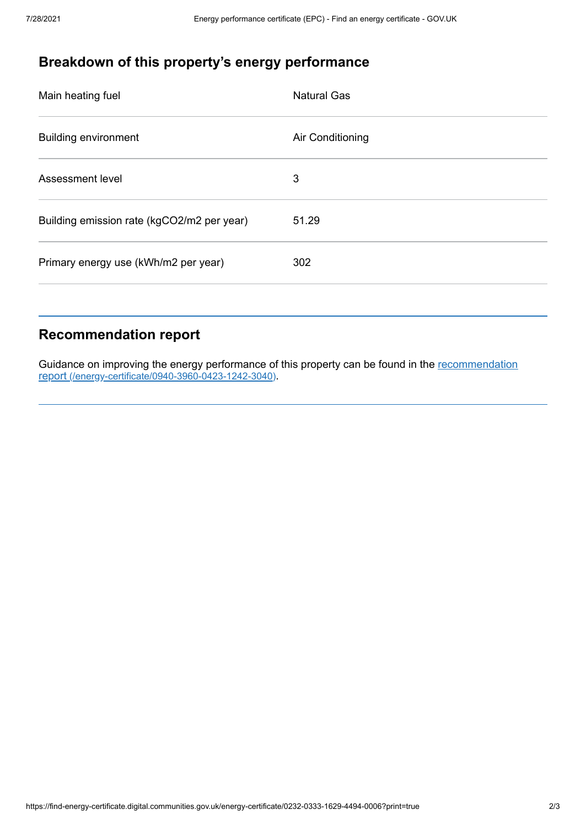# **Breakdown of this property's energy performance**

| Main heating fuel                          | <b>Natural Gas</b> |
|--------------------------------------------|--------------------|
| <b>Building environment</b>                | Air Conditioning   |
| Assessment level                           | 3                  |
| Building emission rate (kgCO2/m2 per year) | 51.29              |
| Primary energy use (kWh/m2 per year)       | 302                |
|                                            |                    |

## **Recommendation report**

Guidance on improving the energy performance of this property can be found in the recommendation report [\(/energy-certificate/0940-3960-0423-1242-3040\)](https://find-energy-certificate.digital.communities.gov.uk/energy-certificate/0940-3960-0423-1242-3040).